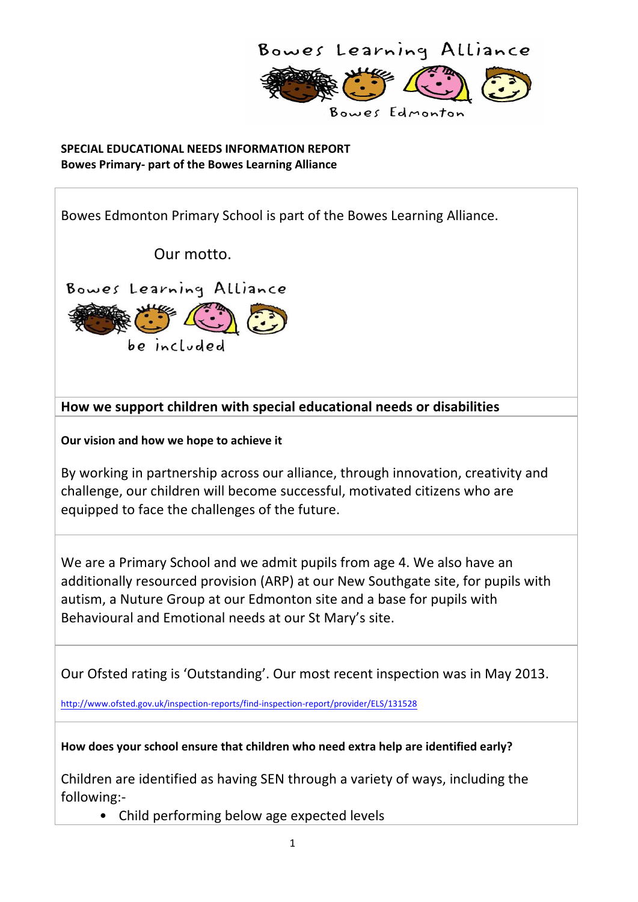

**SPECIAL EDUCATIONAL NEEDS INFORMATION REPORT Bowes Primary- part of the Bowes Learning Alliance** 

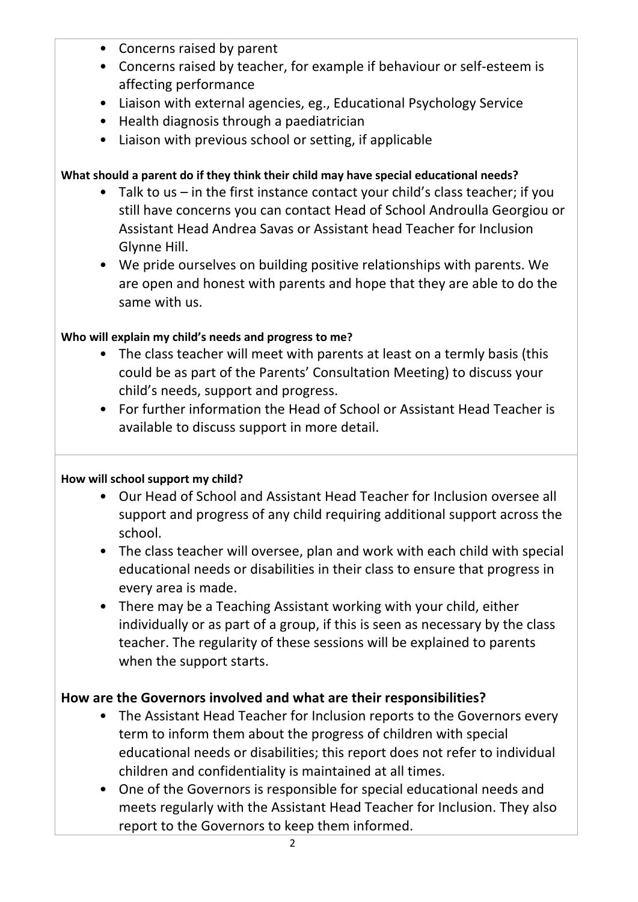- Concerns raised by parent
- Concerns raised by teacher, for example if behaviour or self-esteem is affecting performance
- Liaison with external agencies, eg., Educational Psychology Service
- Health diagnosis through a paediatrician
- Liaison with previous school or setting, if applicable

### What should a parent do if they think their child may have special educational needs?

- Talk to us in the first instance contact your child's class teacher; if you still have concerns you can contact Head of School Androulla Georgiou or Assistant Head Andrea Savas or Assistant head Teacher for Inclusion Glynne Hill.
- We pride ourselves on building positive relationships with parents. We are open and honest with parents and hope that they are able to do the same with us.

## Who will explain my child's needs and progress to me?

- The class teacher will meet with parents at least on a termly basis (this could be as part of the Parents' Consultation Meeting) to discuss your child's needs, support and progress.
- For further information the Head of School or Assistant Head Teacher is available to discuss support in more detail.

#### How will school support my child?

- Our Head of School and Assistant Head Teacher for Inclusion oversee all support and progress of any child requiring additional support across the school.
- The class teacher will oversee, plan and work with each child with special educational needs or disabilities in their class to ensure that progress in every area is made.
- There may be a Teaching Assistant working with your child, either individually or as part of a group, if this is seen as necessary by the class teacher. The regularity of these sessions will be explained to parents when the support starts.

## How are the Governors involved and what are their responsibilities?

- The Assistant Head Teacher for Inclusion reports to the Governors every term to inform them about the progress of children with special educational needs or disabilities; this report does not refer to individual children and confidentiality is maintained at all times.
- One of the Governors is responsible for special educational needs and meets regularly with the Assistant Head Teacher for Inclusion. They also report to the Governors to keep them informed.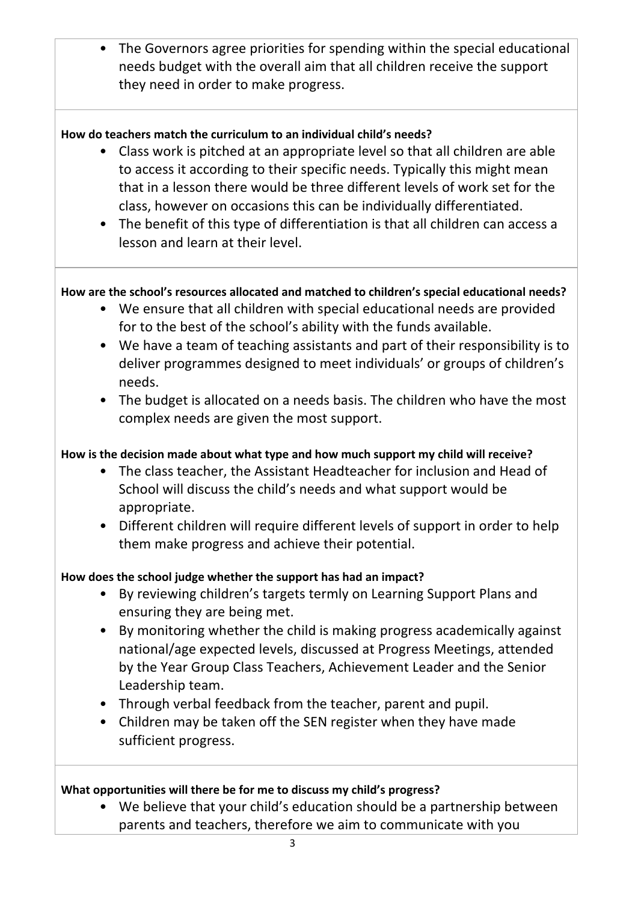• The Governors agree priorities for spending within the special educational needs budget with the overall aim that all children receive the support they need in order to make progress.

### How do teachers match the curriculum to an individual child's needs?

- Class work is pitched at an appropriate level so that all children are able to access it according to their specific needs. Typically this might mean that in a lesson there would be three different levels of work set for the class, however on occasions this can be individually differentiated.
- The benefit of this type of differentiation is that all children can access a lesson and learn at their level.

### How are the school's resources allocated and matched to children's special educational needs?

- We ensure that all children with special educational needs are provided for to the best of the school's ability with the funds available.
- We have a team of teaching assistants and part of their responsibility is to deliver programmes designed to meet individuals' or groups of children's needs.
- The budget is allocated on a needs basis. The children who have the most complex needs are given the most support.

### How is the decision made about what type and how much support my child will receive?

- The class teacher, the Assistant Headteacher for inclusion and Head of School will discuss the child's needs and what support would be appropriate.
- Different children will require different levels of support in order to help them make progress and achieve their potential.

#### How does the school judge whether the support has had an impact?

- By reviewing children's targets termly on Learning Support Plans and ensuring they are being met.
- By monitoring whether the child is making progress academically against national/age expected levels, discussed at Progress Meetings, attended by the Year Group Class Teachers, Achievement Leader and the Senior Leadership team.
- Through verbal feedback from the teacher, parent and pupil.
- Children may be taken off the SEN register when they have made sufficient progress.

#### What opportunities will there be for me to discuss my child's progress?

• We believe that your child's education should be a partnership between parents and teachers, therefore we aim to communicate with you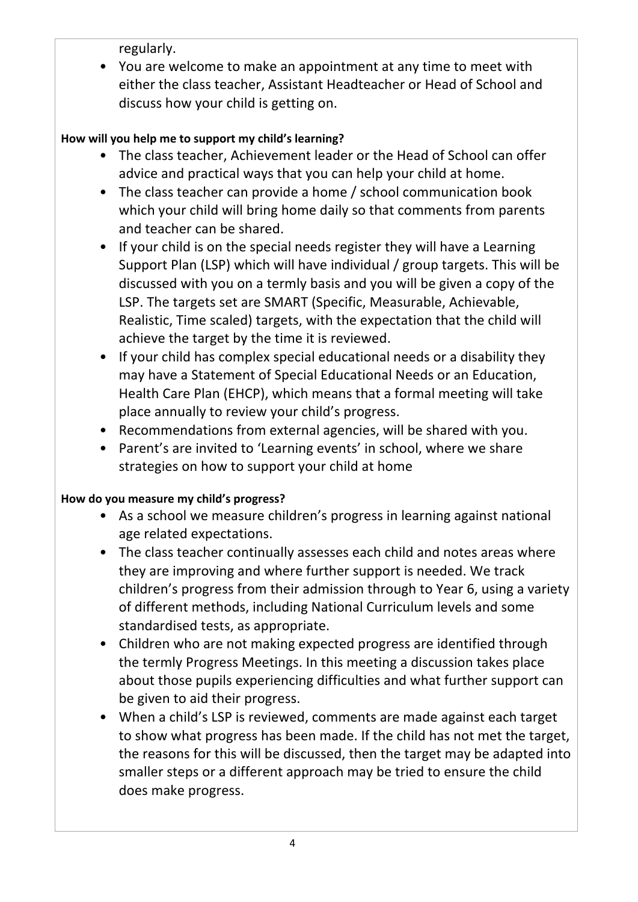regularly.

• You are welcome to make an appointment at any time to meet with either the class teacher, Assistant Headteacher or Head of School and discuss how your child is getting on.

# How will you help me to support my child's learning?

- The class teacher, Achievement leader or the Head of School can offer advice and practical ways that you can help your child at home.
- The class teacher can provide a home / school communication book which your child will bring home daily so that comments from parents and teacher can be shared.
- If your child is on the special needs register they will have a Learning Support Plan (LSP) which will have individual / group targets. This will be discussed with you on a termly basis and you will be given a copy of the LSP. The targets set are SMART (Specific, Measurable, Achievable, Realistic, Time scaled) targets, with the expectation that the child will achieve the target by the time it is reviewed.
- If your child has complex special educational needs or a disability they may have a Statement of Special Educational Needs or an Education, Health Care Plan (EHCP), which means that a formal meeting will take place annually to review your child's progress.
- Recommendations from external agencies, will be shared with you.
- Parent's are invited to 'Learning events' in school, where we share strategies on how to support your child at home

# How do you measure my child's progress?

- As a school we measure children's progress in learning against national age related expectations.
- The class teacher continually assesses each child and notes areas where they are improving and where further support is needed. We track children's progress from their admission through to Year 6, using a variety of different methods, including National Curriculum levels and some standardised tests, as appropriate.
- Children who are not making expected progress are identified through the termly Progress Meetings. In this meeting a discussion takes place about those pupils experiencing difficulties and what further support can be given to aid their progress.
- When a child's LSP is reviewed, comments are made against each target to show what progress has been made. If the child has not met the target, the reasons for this will be discussed, then the target may be adapted into smaller steps or a different approach may be tried to ensure the child does make progress.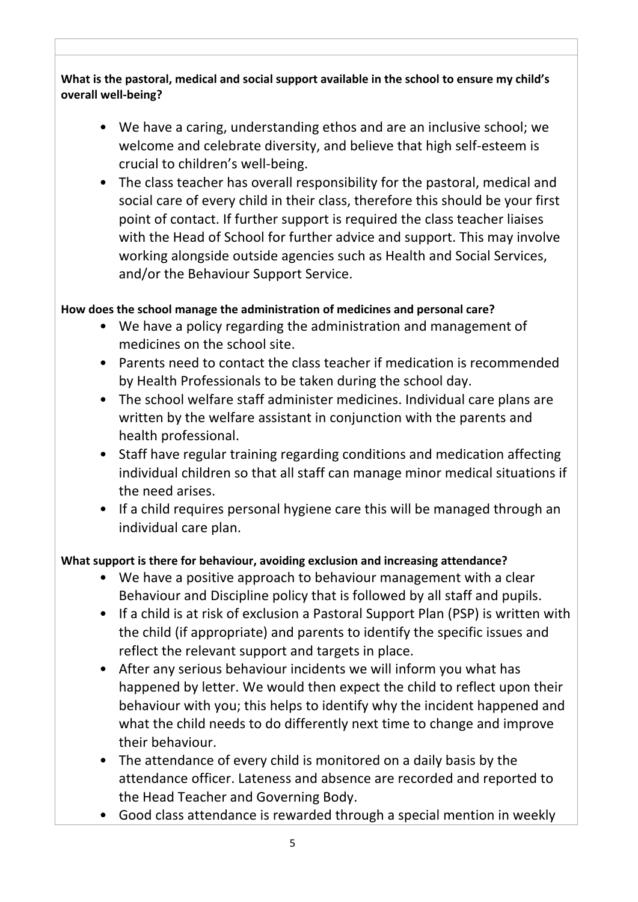What is the pastoral, medical and social support available in the school to ensure my child's **overall well-being?**

- We have a caring, understanding ethos and are an inclusive school; we welcome and celebrate diversity, and believe that high self-esteem is crucial to children's well-being.
- The class teacher has overall responsibility for the pastoral, medical and social care of every child in their class, therefore this should be your first point of contact. If further support is required the class teacher liaises with the Head of School for further advice and support. This may involve working alongside outside agencies such as Health and Social Services, and/or the Behaviour Support Service.

### How does the school manage the administration of medicines and personal care?

- We have a policy regarding the administration and management of medicines on the school site.
- Parents need to contact the class teacher if medication is recommended by Health Professionals to be taken during the school day.
- The school welfare staff administer medicines. Individual care plans are written by the welfare assistant in conjunction with the parents and health professional.
- Staff have regular training regarding conditions and medication affecting individual children so that all staff can manage minor medical situations if the need arises.
- If a child requires personal hygiene care this will be managed through an individual care plan.

## What support is there for behaviour, avoiding exclusion and increasing attendance?

- We have a positive approach to behaviour management with a clear Behaviour and Discipline policy that is followed by all staff and pupils.
- If a child is at risk of exclusion a Pastoral Support Plan (PSP) is written with the child (if appropriate) and parents to identify the specific issues and reflect the relevant support and targets in place.
- After any serious behaviour incidents we will inform you what has happened by letter. We would then expect the child to reflect upon their behaviour with you; this helps to identify why the incident happened and what the child needs to do differently next time to change and improve their behaviour.
- The attendance of every child is monitored on a daily basis by the attendance officer. Lateness and absence are recorded and reported to the Head Teacher and Governing Body.
- Good class attendance is rewarded through a special mention in weekly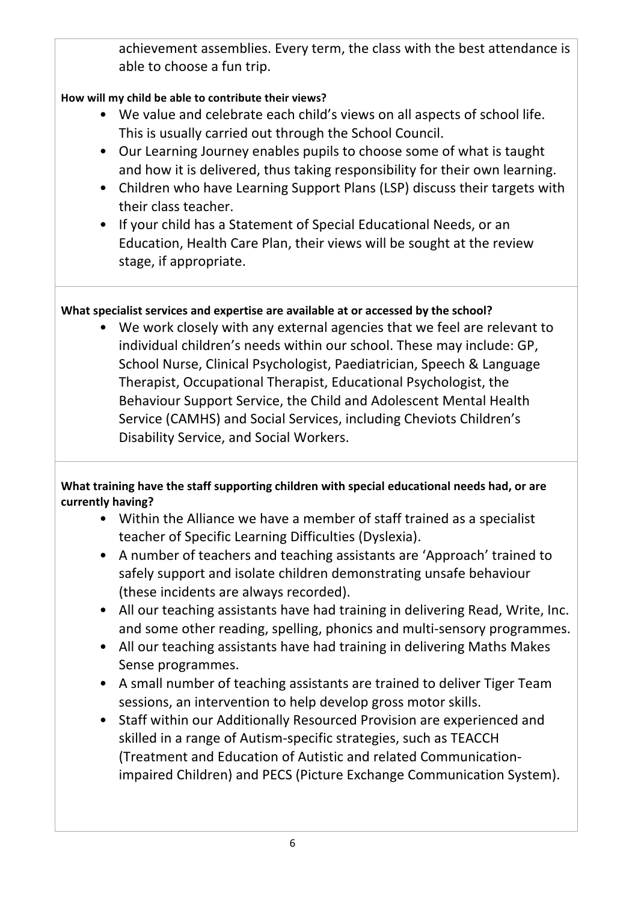achievement assemblies. Every term, the class with the best attendance is able to choose a fun trip.

## How will my child be able to contribute their views?

- We value and celebrate each child's views on all aspects of school life. This is usually carried out through the School Council.
- Our Learning Journey enables pupils to choose some of what is taught and how it is delivered, thus taking responsibility for their own learning.
- Children who have Learning Support Plans (LSP) discuss their targets with their class teacher.
- If your child has a Statement of Special Educational Needs, or an Education, Health Care Plan, their views will be sought at the review stage, if appropriate.

# What specialist services and expertise are available at or accessed by the school?

• We work closely with any external agencies that we feel are relevant to individual children's needs within our school. These may include: GP, School Nurse, Clinical Psychologist, Paediatrician, Speech & Language Therapist, Occupational Therapist, Educational Psychologist, the Behaviour Support Service, the Child and Adolescent Mental Health Service (CAMHS) and Social Services, including Cheviots Children's Disability Service, and Social Workers.

## **What training have the staff supporting children with special educational needs had, or are currently having?**

- Within the Alliance we have a member of staff trained as a specialist teacher of Specific Learning Difficulties (Dyslexia).
- A number of teachers and teaching assistants are 'Approach' trained to safely support and isolate children demonstrating unsafe behaviour (these incidents are always recorded).
- All our teaching assistants have had training in delivering Read, Write, Inc. and some other reading, spelling, phonics and multi-sensory programmes.
- All our teaching assistants have had training in delivering Maths Makes Sense programmes.
- A small number of teaching assistants are trained to deliver Tiger Team sessions, an intervention to help develop gross motor skills.
- Staff within our Additionally Resourced Provision are experienced and skilled in a range of Autism-specific strategies, such as TEACCH (Treatment and Education of Autistic and related Communicationimpaired Children) and PECS (Picture Exchange Communication System).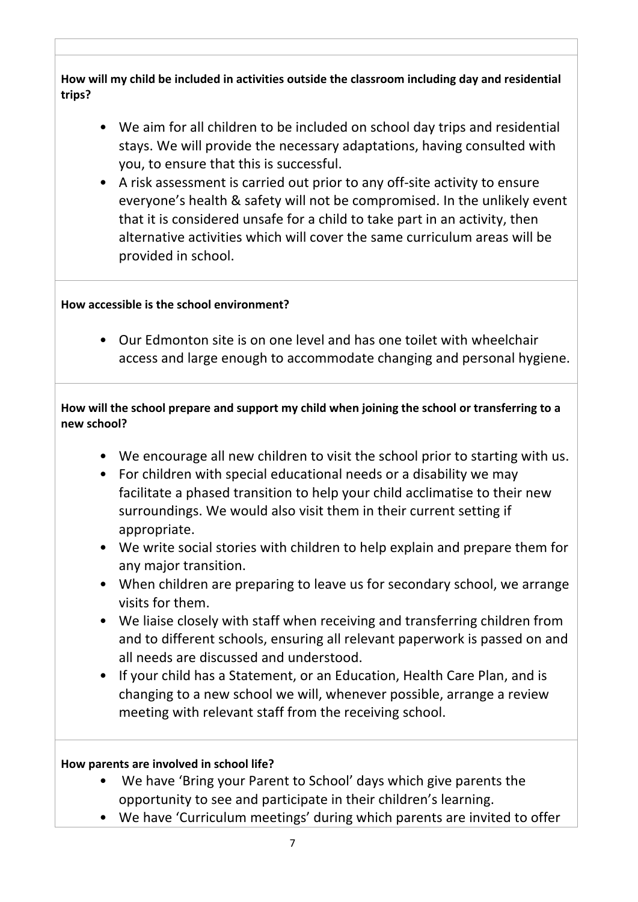How will my child be included in activities outside the classroom including day and residential **trips?**

- We aim for all children to be included on school day trips and residential stays. We will provide the necessary adaptations, having consulted with you, to ensure that this is successful.
- A risk assessment is carried out prior to any off-site activity to ensure everyone's health & safety will not be compromised. In the unlikely event that it is considered unsafe for a child to take part in an activity, then alternative activities which will cover the same curriculum areas will be provided in school.

#### How accessible is the school environment?

• Our Edmonton site is on one level and has one toilet with wheelchair access and large enough to accommodate changing and personal hygiene.

#### How will the school prepare and support my child when joining the school or transferring to a **new school?**

- We encourage all new children to visit the school prior to starting with us.
- For children with special educational needs or a disability we may facilitate a phased transition to help your child acclimatise to their new surroundings. We would also visit them in their current setting if appropriate.
- We write social stories with children to help explain and prepare them for any major transition.
- When children are preparing to leave us for secondary school, we arrange visits for them.
- We liaise closely with staff when receiving and transferring children from and to different schools, ensuring all relevant paperwork is passed on and all needs are discussed and understood.
- If your child has a Statement, or an Education, Health Care Plan, and is changing to a new school we will, whenever possible, arrange a review meeting with relevant staff from the receiving school.

#### How parents are involved in school life?

- We have 'Bring your Parent to School' days which give parents the opportunity to see and participate in their children's learning.
- We have 'Curriculum meetings' during which parents are invited to offer